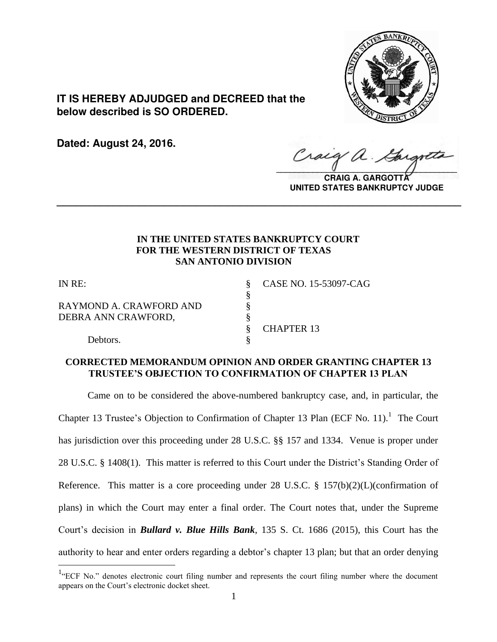

**IT IS HEREBY ADJUDGED and DECREED that the below described is SO ORDERED.**

**Dated: August 24, 2016.**

 $\sqrt{2}$ 

**CRAIG A. GARGOTTA UNITED STATES BANKRUPTCY JUDGE**

# **IN THE UNITED STATES BANKRUPTCY COURT FOR THE WESTERN DISTRICT OF TEXAS SAN ANTONIO DIVISION**

**\_\_\_\_\_\_\_\_\_\_\_\_\_\_\_\_\_\_\_\_\_\_\_\_\_\_\_\_\_\_\_\_\_\_\_\_\_\_\_\_\_\_\_\_\_\_\_\_\_\_\_\_\_\_\_\_\_\_\_\_\_\_\_\_**

§

 $\overline{a}$ 

RAYMOND A. CRAWFORD AND § DEBRA ANN CRAWFORD,  $§$ 

Debtors.

IN RE: § CASE NO. 15-53097-CAG

§ CHAPTER 13

# **CORRECTED MEMORANDUM OPINION AND ORDER GRANTING CHAPTER 13 TRUSTEE'S OBJECTION TO CONFIRMATION OF CHAPTER 13 PLAN**

 Came on to be considered the above-numbered bankruptcy case, and, in particular, the Chapter 13 Trustee's Objection to Confirmation of Chapter 13 Plan (ECF No. 11).<sup>1</sup> The Court has jurisdiction over this proceeding under 28 U.S.C. §§ 157 and 1334. Venue is proper under 28 U.S.C. § 1408(1). This matter is referred to this Court under the District's Standing Order of Reference. This matter is a core proceeding under 28 U.S.C. § 157(b)(2)(L)(confirmation of plans) in which the Court may enter a final order. The Court notes that, under the Supreme Court's decision in *Bullard v. Blue Hills Bank*, 135 S. Ct. 1686 (2015), this Court has the authority to hear and enter orders regarding a debtor's chapter 13 plan; but that an order denying

<sup>&</sup>lt;sup>1</sup>"ECF No." denotes electronic court filing number and represents the court filing number where the document appears on the Court's electronic docket sheet.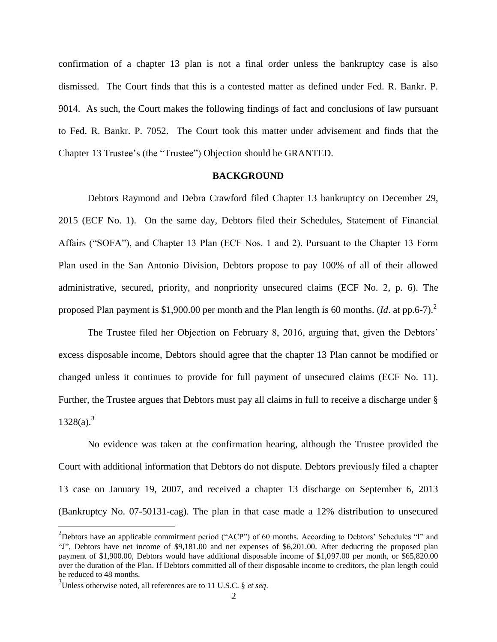confirmation of a chapter 13 plan is not a final order unless the bankruptcy case is also dismissed. The Court finds that this is a contested matter as defined under Fed. R. Bankr. P. 9014. As such, the Court makes the following findings of fact and conclusions of law pursuant to Fed. R. Bankr. P. 7052. The Court took this matter under advisement and finds that the Chapter 13 Trustee's (the "Trustee") Objection should be GRANTED.

## **BACKGROUND**

Debtors Raymond and Debra Crawford filed Chapter 13 bankruptcy on December 29, 2015 (ECF No. 1). On the same day, Debtors filed their Schedules, Statement of Financial Affairs ("SOFA"), and Chapter 13 Plan (ECF Nos. 1 and 2). Pursuant to the Chapter 13 Form Plan used in the San Antonio Division, Debtors propose to pay 100% of all of their allowed administrative, secured, priority, and nonpriority unsecured claims (ECF No. 2, p. 6). The proposed Plan payment is \$1,900.00 per month and the Plan length is 60 months. (*Id*. at pp.6-7). 2

The Trustee filed her Objection on February 8, 2016, arguing that, given the Debtors' excess disposable income, Debtors should agree that the chapter 13 Plan cannot be modified or changed unless it continues to provide for full payment of unsecured claims (ECF No. 11). Further, the Trustee argues that Debtors must pay all claims in full to receive a discharge under §  $1328(a).^{3}$ 

No evidence was taken at the confirmation hearing, although the Trustee provided the Court with additional information that Debtors do not dispute. Debtors previously filed a chapter 13 case on January 19, 2007, and received a chapter 13 discharge on September 6, 2013 (Bankruptcy No. 07-50131-cag). The plan in that case made a 12% distribution to unsecured

 $2$ Debtors have an applicable commitment period ("ACP") of 60 months. According to Debtors' Schedules "I" and "J", Debtors have net income of \$9,181.00 and net expenses of \$6,201.00. After deducting the proposed plan payment of \$1,900.00, Debtors would have additional disposable income of \$1,097.00 per month, or \$65,820.00 over the duration of the Plan. If Debtors committed all of their disposable income to creditors, the plan length could be reduced to 48 months.

<sup>3</sup> Unless otherwise noted, all references are to 11 U.S.C. § *et seq*.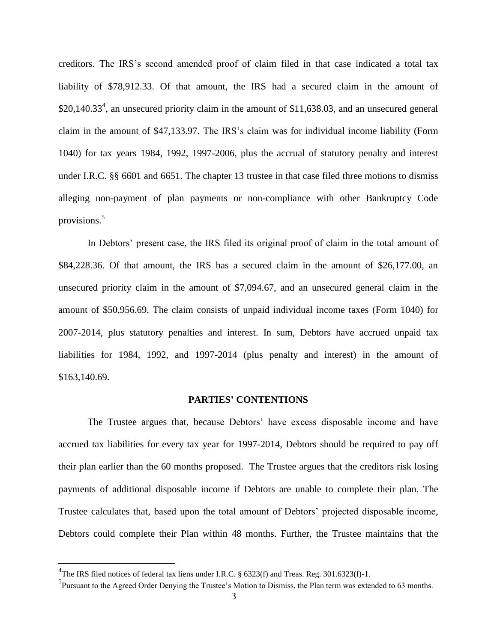creditors. The IRS's second amended proof of claim filed in that case indicated a total tax liability of \$78,912.33. Of that amount, the IRS had a secured claim in the amount of  $$20,140.33<sup>4</sup>$ , an unsecured priority claim in the amount of \$11,638.03, and an unsecured general claim in the amount of \$47,133.97. The IRS's claim was for individual income liability (Form 1040) for tax years 1984, 1992, 1997-2006, plus the accrual of statutory penalty and interest under I.R.C. §§ 6601 and 6651. The chapter 13 trustee in that case filed three motions to dismiss alleging non-payment of plan payments or non-compliance with other Bankruptcy Code provisions.<sup>5</sup>

In Debtors' present case, the IRS filed its original proof of claim in the total amount of \$84,228.36. Of that amount, the IRS has a secured claim in the amount of \$26,177.00, an unsecured priority claim in the amount of \$7,094.67, and an unsecured general claim in the amount of \$50,956.69. The claim consists of unpaid individual income taxes (Form 1040) for 2007-2014, plus statutory penalties and interest. In sum, Debtors have accrued unpaid tax liabilities for 1984, 1992, and 1997-2014 (plus penalty and interest) in the amount of \$163,140.69.

#### **PARTIES' CONTENTIONS**

The Trustee argues that, because Debtors' have excess disposable income and have accrued tax liabilities for every tax year for 1997-2014, Debtors should be required to pay off their plan earlier than the 60 months proposed. The Trustee argues that the creditors risk losing payments of additional disposable income if Debtors are unable to complete their plan. The Trustee calculates that, based upon the total amount of Debtors' projected disposable income, Debtors could complete their Plan within 48 months. Further, the Trustee maintains that the

<sup>&</sup>lt;sup>4</sup>The IRS filed notices of federal tax liens under I.R.C. § 6323(f) and Treas. Reg. 301.6323(f)-1.

<sup>&</sup>lt;sup>5</sup>Pursuant to the Agreed Order Denying the Trustee's Motion to Dismiss, the Plan term was extended to 63 months.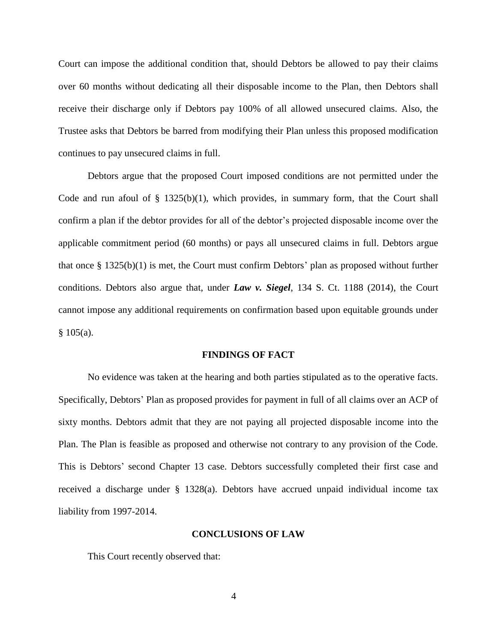Court can impose the additional condition that, should Debtors be allowed to pay their claims over 60 months without dedicating all their disposable income to the Plan, then Debtors shall receive their discharge only if Debtors pay 100% of all allowed unsecured claims. Also, the Trustee asks that Debtors be barred from modifying their Plan unless this proposed modification continues to pay unsecured claims in full.

Debtors argue that the proposed Court imposed conditions are not permitted under the Code and run afoul of  $\S$  1325(b)(1), which provides, in summary form, that the Court shall confirm a plan if the debtor provides for all of the debtor's projected disposable income over the applicable commitment period (60 months) or pays all unsecured claims in full. Debtors argue that once § 1325(b)(1) is met, the Court must confirm Debtors' plan as proposed without further conditions. Debtors also argue that, under *Law v. Siegel*, 134 S. Ct. 1188 (2014), the Court cannot impose any additional requirements on confirmation based upon equitable grounds under § 105(a).

### **FINDINGS OF FACT**

No evidence was taken at the hearing and both parties stipulated as to the operative facts. Specifically, Debtors' Plan as proposed provides for payment in full of all claims over an ACP of sixty months. Debtors admit that they are not paying all projected disposable income into the Plan. The Plan is feasible as proposed and otherwise not contrary to any provision of the Code. This is Debtors' second Chapter 13 case. Debtors successfully completed their first case and received a discharge under § 1328(a). Debtors have accrued unpaid individual income tax liability from 1997-2014.

### **CONCLUSIONS OF LAW**

This Court recently observed that: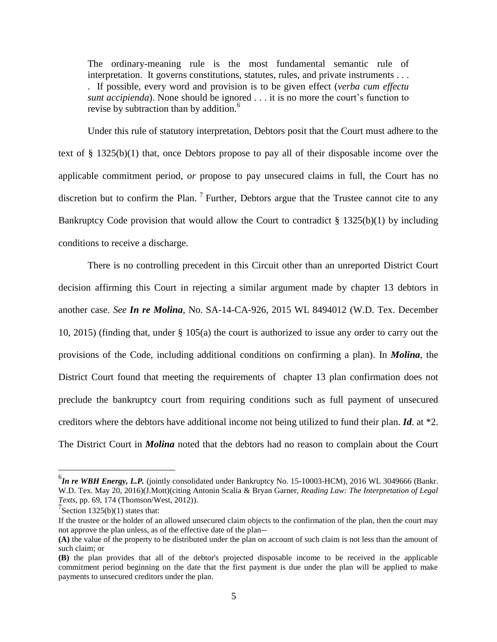The ordinary-meaning rule is the most fundamental semantic rule of interpretation. It governs constitutions, statutes, rules, and private instruments . . . . If possible, every word and provision is to be given effect (*verba cum effectu sunt accipienda*). None should be ignored . . . it is no more the court's function to revise by subtraction than by addition.<sup>6</sup>

Under this rule of statutory interpretation, Debtors posit that the Court must adhere to the text of § 1325(b)(1) that, once Debtors propose to pay all of their disposable income over the applicable commitment period, *or* propose to pay unsecured claims in full, the Court has no discretion but to confirm the Plan.<sup>7</sup> Further, Debtors argue that the Trustee cannot cite to any Bankruptcy Code provision that would allow the Court to contradict § 1325(b)(1) by including conditions to receive a discharge.

There is no controlling precedent in this Circuit other than an unreported District Court decision affirming this Court in rejecting a similar argument made by chapter 13 debtors in another case. *See In re Molina*, No. SA-14-CA-926, 2015 WL 8494012 (W.D. Tex. December 10, 2015) (finding that, under § 105(a) the court is authorized to issue any order to carry out the provisions of the Code, including additional conditions on confirming a plan). In *Molina*, the District Court found that meeting the requirements of chapter 13 plan confirmation does not preclude the bankruptcy court from requiring conditions such as full payment of unsecured creditors where the debtors have additional income not being utilized to fund their plan. *Id*. at \*2. The District Court in *Molina* noted that the debtors had no reason to complain about the Court

<sup>&</sup>lt;sup>6</sup>In re WBH Energy, L.P. (jointly consolidated under Bankruptcy No. 15-10003-HCM), 2016 WL 3049666 (Bankr. W.D. Tex. May 20, 2016)(J.Mott)(citing Antonin Scalia & Bryan Garner, *Reading Law: The Interpretation of Legal Texts*, pp. 69, 174 (Thomson/West, 2012)).

 $7$ Section 1325(b)(1) states that:

If the trustee or the holder of an allowed unsecured claim objects to the confirmation of the plan, then the court may not approve the plan unless, as of the effective date of the plan--

**<sup>(</sup>A)** the value of the property to be distributed under the plan on account of such claim is not less than the amount of such claim; or

**<sup>(</sup>B)** the plan provides that all of the debtor's projected disposable income to be received in the applicable commitment period beginning on the date that the first payment is due under the plan will be applied to make payments to unsecured creditors under the plan.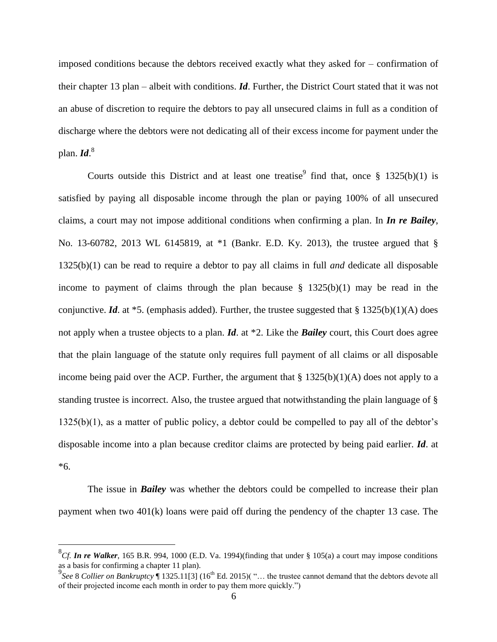imposed conditions because the debtors received exactly what they asked for – confirmation of their chapter 13 plan – albeit with conditions. *Id*. Further, the District Court stated that it was not an abuse of discretion to require the debtors to pay all unsecured claims in full as a condition of discharge where the debtors were not dedicating all of their excess income for payment under the plan. *Id*. 8

Courts outside this District and at least one treatise  $\frac{1}{2}$  find that, once § 1325(b)(1) is satisfied by paying all disposable income through the plan or paying 100% of all unsecured claims, a court may not impose additional conditions when confirming a plan. In *In re Bailey*, No. 13-60782, 2013 WL 6145819, at \*1 (Bankr. E.D. Ky. 2013), the trustee argued that § 1325(b)(1) can be read to require a debtor to pay all claims in full *and* dedicate all disposable income to payment of claims through the plan because  $\S$  1325(b)(1) may be read in the conjunctive. *Id*. at  $*5$ . (emphasis added). Further, the trustee suggested that § 1325(b)(1)(A) does not apply when a trustee objects to a plan. *Id*. at \*2. Like the *Bailey* court, this Court does agree that the plain language of the statute only requires full payment of all claims or all disposable income being paid over the ACP. Further, the argument that  $\S 1325(b)(1)(A)$  does not apply to a standing trustee is incorrect. Also, the trustee argued that notwithstanding the plain language of § 1325(b)(1), as a matter of public policy, a debtor could be compelled to pay all of the debtor's disposable income into a plan because creditor claims are protected by being paid earlier. *Id*. at \*6.

The issue in *Bailey* was whether the debtors could be compelled to increase their plan payment when two 401(k) loans were paid off during the pendency of the chapter 13 case. The

<sup>8</sup> *Cf. In re Walker*, 165 B.R. 994, 1000 (E.D. Va. 1994)(finding that under § 105(a) a court may impose conditions as a basis for confirming a chapter 11 plan).

<sup>&</sup>lt;sup>9</sup>See 8 *Collier on Bankruptcy* 1325.11[3] (16<sup>th</sup> Ed. 2015)( "... the trustee cannot demand that the debtors devote all of their projected income each month in order to pay them more quickly.")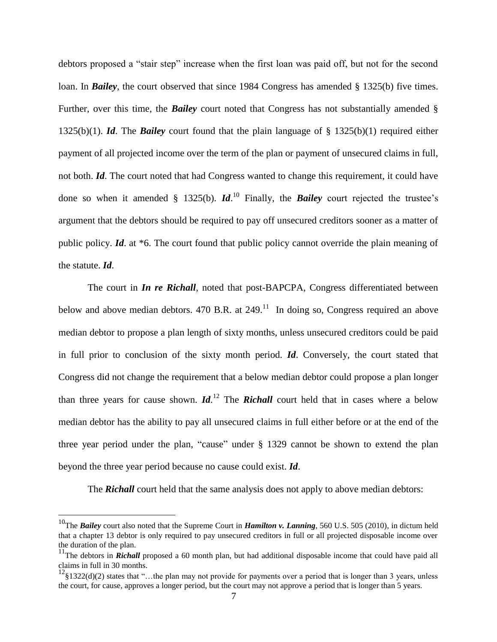debtors proposed a "stair step" increase when the first loan was paid off, but not for the second loan. In *Bailey*, the court observed that since 1984 Congress has amended § 1325(b) five times. Further, over this time, the *Bailey* court noted that Congress has not substantially amended § 1325(b)(1). *Id*. The *Bailey* court found that the plain language of § 1325(b)(1) required either payment of all projected income over the term of the plan or payment of unsecured claims in full, not both. *Id*. The court noted that had Congress wanted to change this requirement, it could have done so when it amended § 1325(b). *Id*. <sup>10</sup> Finally, the *Bailey* court rejected the trustee's argument that the debtors should be required to pay off unsecured creditors sooner as a matter of public policy. *Id*. at \*6. The court found that public policy cannot override the plain meaning of the statute. *Id*.

The court in *In re Richall*, noted that post-BAPCPA, Congress differentiated between below and above median debtors. 470 B.R. at  $249$ .<sup>11</sup> In doing so, Congress required an above median debtor to propose a plan length of sixty months, unless unsecured creditors could be paid in full prior to conclusion of the sixty month period. *Id*. Conversely, the court stated that Congress did not change the requirement that a below median debtor could propose a plan longer than three years for cause shown. *Id*. <sup>12</sup> The *Richall* court held that in cases where a below median debtor has the ability to pay all unsecured claims in full either before or at the end of the three year period under the plan, "cause" under § 1329 cannot be shown to extend the plan beyond the three year period because no cause could exist. *Id*.

The **Richall** court held that the same analysis does not apply to above median debtors:

<sup>10</sup>The *Bailey* court also noted that the Supreme Court in *Hamilton v. Lanning*, 560 U.S. 505 (2010), in dictum held that a chapter 13 debtor is only required to pay unsecured creditors in full or all projected disposable income over the duration of the plan.

<sup>&</sup>lt;sup>11</sup>The debtors in *Richall* proposed a 60 month plan, but had additional disposable income that could have paid all claims in full in 30 months.

 $^{12}$ §1322(d)(2) states that "…the plan may not provide for payments over a period that is longer than 3 years, unless the court, for cause, approves a longer period, but the court may not approve a period that is longer than 5 years.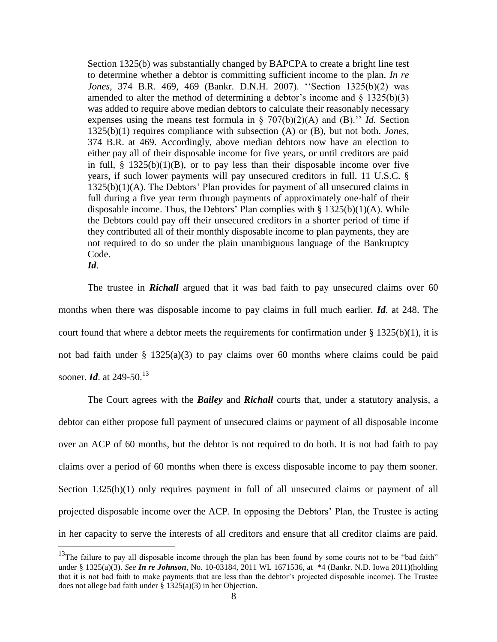Section 1325(b) was substantially changed by BAPCPA to create a bright line test to determine whether a debtor is committing sufficient income to the plan. *In re Jones,* 374 B.R. 469, 469 (Bankr. D.N.H. 2007). ''Section 1325(b)(2) was amended to alter the method of determining a debtor's income and  $\S$  1325(b)(3) was added to require above median debtors to calculate their reasonably necessary expenses using the means test formula in § 707(b)(2)(A) and (B).'' *Id.* Section 1325(b)(1) requires compliance with subsection (A) or (B), but not both. *Jones,* 374 B.R. at 469. Accordingly, above median debtors now have an election to either pay all of their disposable income for five years, or until creditors are paid in full,  $\S$  1325(b)(1)(B), or to pay less than their disposable income over five years, if such lower payments will pay unsecured creditors in full. 11 U.S.C. § 1325(b)(1)(A). The Debtors' Plan provides for payment of all unsecured claims in full during a five year term through payments of approximately one-half of their disposable income. Thus, the Debtors' Plan complies with  $\S 1325(b)(1)(A)$ . While the Debtors could pay off their unsecured creditors in a shorter period of time if they contributed all of their monthly disposable income to plan payments, they are not required to do so under the plain unambiguous language of the Bankruptcy Code.

*Id*.

 $\overline{a}$ 

The trustee in *Richall* argued that it was bad faith to pay unsecured claims over 60 months when there was disposable income to pay claims in full much earlier. *Id*. at 248. The court found that where a debtor meets the requirements for confirmation under  $\S 1325(b)(1)$ , it is not bad faith under § 1325(a)(3) to pay claims over 60 months where claims could be paid sooner. *Id.* at 249-50.<sup>13</sup>

The Court agrees with the *Bailey* and *Richall* courts that, under a statutory analysis, a debtor can either propose full payment of unsecured claims or payment of all disposable income over an ACP of 60 months, but the debtor is not required to do both. It is not bad faith to pay claims over a period of 60 months when there is excess disposable income to pay them sooner. Section 1325(b)(1) only requires payment in full of all unsecured claims or payment of all projected disposable income over the ACP. In opposing the Debtors' Plan, the Trustee is acting in her capacity to serve the interests of all creditors and ensure that all creditor claims are paid.

<sup>&</sup>lt;sup>13</sup>The failure to pay all disposable income through the plan has been found by some courts not to be "bad faith" under § 1325(a)(3). *See In re Johnson*, No. 10-03184, 2011 WL 1671536, at \*4 (Bankr. N.D. Iowa 2011)(holding that it is not bad faith to make payments that are less than the debtor's projected disposable income). The Trustee does not allege bad faith under  $\S$  1325(a)(3) in her Objection.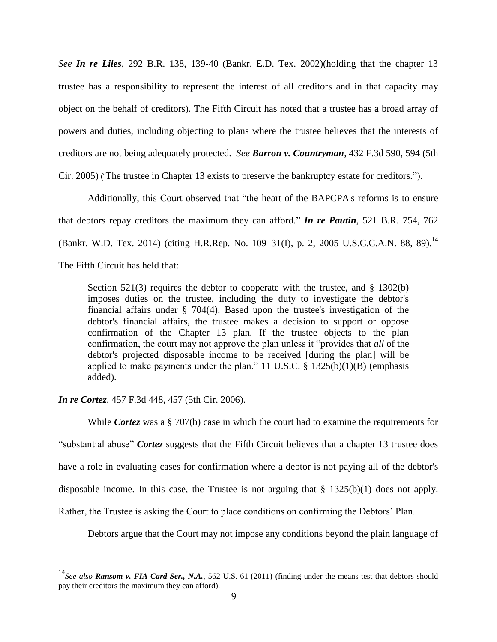*See In re Liles*, 292 B.R. 138, 139-40 (Bankr. E.D. Tex. 2002)(holding that the chapter 13 trustee has a responsibility to represent the interest of all creditors and in that capacity may object on the behalf of creditors). The Fifth Circuit has noted that a trustee has a broad array of powers and duties, including objecting to plans where the trustee believes that the interests of creditors are not being adequately protected. *See Barron v. Countryman*, 432 F.3d 590, 594 (5th Cir. 2005) ("The trustee in Chapter 13 exists to preserve the bankruptcy estate for creditors.").

Additionally, this Court observed that "the heart of the BAPCPA's reforms is to ensure that debtors repay creditors the maximum they can afford." *In re Pautin*, 521 B.R. 754, 762 (Bankr. W.D. Tex. 2014) (citing [H.R.Rep. No. 109–31\(I\), p. 2,](https://1.next.westlaw.com/Link/Document/FullText?findType=Y&serNum=0303905884&pubNum=0100014&originatingDoc=Ic62bc2f0765d11e4b4bafa136b480ad2&refType=TV&originationContext=document&transitionType=DocumentItem&contextData=%28sc.UserEnteredCitation%29) 2005 U.S.C.C.A.N. 88, 89).<sup>14</sup> The Fifth Circuit has held that:

Section  $521(3)$  requires the debtor to cooperate with the trustee, and  $\S$  1302(b) imposes duties on the trustee, including the duty to investigate the debtor's financial affairs under § 704(4). Based upon the trustee's investigation of the debtor's financial affairs, the trustee makes a decision to support or oppose confirmation of the Chapter 13 plan. If the trustee objects to the plan confirmation, the court may not approve the plan unless it "provides that *all* of the debtor's projected disposable income to be received [during the plan] will be applied to make payments under the plan." 11 U.S.C.  $\S$  1325(b)(1)(B) (emphasis added).

*In re Cortez*, 457 F.3d 448, 457 (5th Cir. 2006).

 $\overline{a}$ 

While *Cortez* was a § 707(b) case in which the court had to examine the requirements for "substantial abuse" *Cortez* suggests that the Fifth Circuit believes that a chapter 13 trustee does have a role in evaluating cases for confirmation where a debtor is not paying all of the debtor's disposable income. In this case, the Trustee is not arguing that  $\S$  1325(b)(1) does not apply. Rather, the Trustee is asking the Court to place conditions on confirming the Debtors' Plan.

Debtors argue that the Court may not impose any conditions beyond the plain language of

<sup>14</sup>*See also Ransom v. FIA Card Ser., N.A.*, 562 U.S. 61 (2011) (finding under the means test that debtors should pay their creditors the maximum they can afford).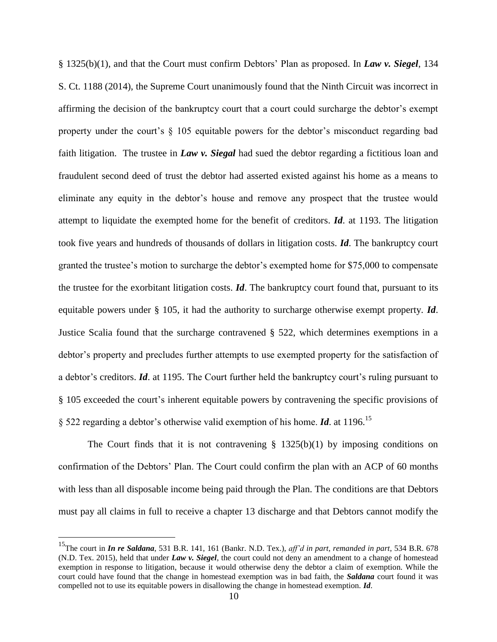§ 1325(b)(1), and that the Court must confirm Debtors' Plan as proposed. In *Law v. Siegel*, 134 S. Ct. 1188 (2014), the Supreme Court unanimously found that the Ninth Circuit was incorrect in affirming the decision of the bankruptcy court that a court could surcharge the debtor's exempt property under the court's  $\S$  105 equitable powers for the debtor's misconduct regarding bad faith litigation. The trustee in *Law v. Siegal* had sued the debtor regarding a fictitious loan and fraudulent second deed of trust the debtor had asserted existed against his home as a means to eliminate any equity in the debtor's house and remove any prospect that the trustee would attempt to liquidate the exempted home for the benefit of creditors. *Id*. at 1193. The litigation took five years and hundreds of thousands of dollars in litigation costs. *Id*. The bankruptcy court granted the trustee's motion to surcharge the debtor's exempted home for \$75,000 to compensate the trustee for the exorbitant litigation costs. *Id*. The bankruptcy court found that, pursuant to its equitable powers under § 105, it had the authority to surcharge otherwise exempt property. *Id*. Justice Scalia found that the surcharge contravened § 522, which determines exemptions in a debtor's property and precludes further attempts to use exempted property for the satisfaction of a debtor's creditors. *Id*. at 1195. The Court further held the bankruptcy court's ruling pursuant to § 105 exceeded the court's inherent equitable powers by contravening the specific provisions of § 522 regarding a debtor's otherwise valid exemption of his home. *Id*. at 1196.<sup>15</sup>

The Court finds that it is not contravening  $\S$  1325(b)(1) by imposing conditions on confirmation of the Debtors' Plan. The Court could confirm the plan with an ACP of 60 months with less than all disposable income being paid through the Plan. The conditions are that Debtors must pay all claims in full to receive a chapter 13 discharge and that Debtors cannot modify the

<sup>15</sup>The court in *In re Saldana*, 531 B.R. 141, 161 (Bankr. N.D. Tex.), *aff'd in part, remanded in part*, 534 B.R. 678 (N.D. Tex. 2015), held that under *Law v. Siegel*, the court could not deny an amendment to a change of homestead exemption in response to litigation, because it would otherwise deny the debtor a claim of exemption. While the court could have found that the change in homestead exemption was in bad faith, the *Saldana* court found it was compelled not to use its equitable powers in disallowing the change in homestead exemption. *Id*.